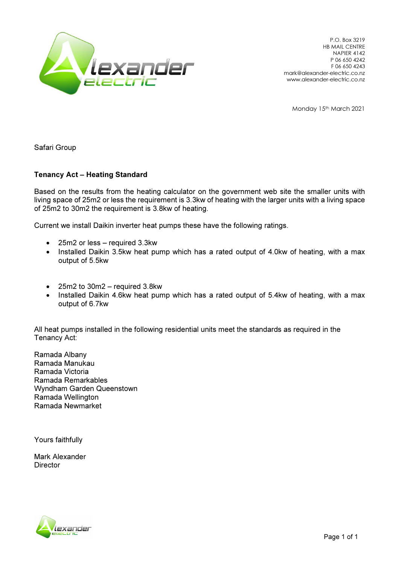

P.O. Box 3219 HB MAIL CENTRE NAPIER 4142 P 06 650 4242 F 06 650 4243 mark@alexander-electric.co.nz www.alexander-electric.co.nz

Monday 15th March 2021

Safari Group

## Tenancy Act – Heating Standard

Based on the results from the heating calculator on the government web site the smaller units with living space of 25m2 or less the requirement is 3.3kw of heating with the larger units with a living space of 25m2 to 30m2 the requirement is 3.8kw of heating.

Current we install Daikin inverter heat pumps these have the following ratings.

- 25m2 or less required 3.3kw
- Installed Daikin 3.5kw heat pump which has a rated output of 4.0kw of heating, with a max output of 5.5kw
- $25m2$  to  $30m2$  required  $3.8kw$
- Installed Daikin 4.6kw heat pump which has a rated output of 5.4kw of heating, with a max output of 6.7kw

All heat pumps installed in the following residential units meet the standards as required in the Tenancy Act:

Ramada Albany Ramada Manukau Ramada Victoria Ramada Remarkables Wyndham Garden Queenstown Ramada Wellington Ramada Newmarket

Yours faithfully

Mark Alexander **Director** 

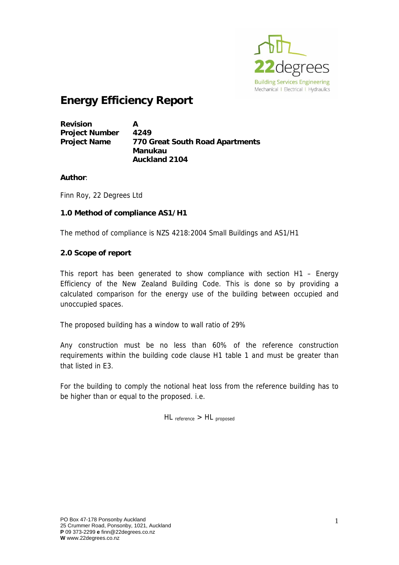

# **Energy Efficiency Report**

| <b>Revision</b>       | А                               |
|-----------------------|---------------------------------|
| <b>Project Number</b> | 4249                            |
| <b>Project Name</b>   | 770 Great South Road Apartments |
|                       | Manukau                         |
|                       | <b>Auckland 2104</b>            |

## **Author**:

Finn Roy, 22 Degrees Ltd

## **1.0 Method of compliance AS1/H1**

The method of compliance is NZS 4218:2004 Small Buildings and AS1/H1

## **2.0 Scope of report**

This report has been generated to show compliance with section H1 – Energy Efficiency of the New Zealand Building Code. This is done so by providing a calculated comparison for the energy use of the building between occupied and unoccupied spaces.

The proposed building has a window to wall ratio of 29%

Any construction must be no less than 60% of the reference construction requirements within the building code clause H1 table 1 and must be greater than that listed in E3.

For the building to comply the notional heat loss from the reference building has to be higher than or equal to the proposed. i.e.

HL reference > HL proposed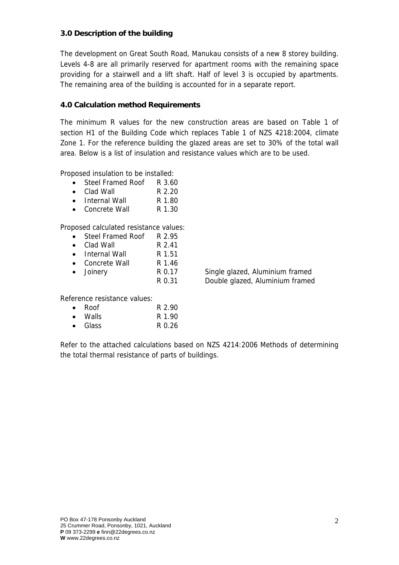# **3.0 Description of the building**

The development on Great South Road, Manukau consists of a new 8 storey building. Levels 4-8 are all primarily reserved for apartment rooms with the remaining space providing for a stairwell and a lift shaft. Half of level 3 is occupied by apartments. The remaining area of the building is accounted for in a separate report.

# **4.0 Calculation method Requirements**

The minimum R values for the new construction areas are based on Table 1 of section H1 of the Building Code which replaces Table 1 of NZS 4218:2004, climate Zone 1. For the reference building the glazed areas are set to 30% of the total wall area. Below is a list of insulation and resistance values which are to be used.

Proposed insulation to be installed:

- Steel Framed Roof R 3.60
- Clad Wall R 2.20
- Internal Wall R 1.80
- Concrete Wall R 1.30

Proposed calculated resistance values:

- Steel Framed Roof R 2.95
- Clad Wall R 2.41
- Internal Wall R 1.51
- Concrete Wall R 1.46
- Joinery R 0.17 Single glazed, Aluminium framed

R 0.31 Double glazed, Aluminium framed

Reference resistance values:

| $\bullet$ | Roof            | R 2.90 |
|-----------|-----------------|--------|
| $\bullet$ | Walls.          | R 1.90 |
|           | $\bullet$ Glass | R 0.26 |

Refer to the attached calculations based on NZS 4214:2006 Methods of determining the total thermal resistance of parts of buildings.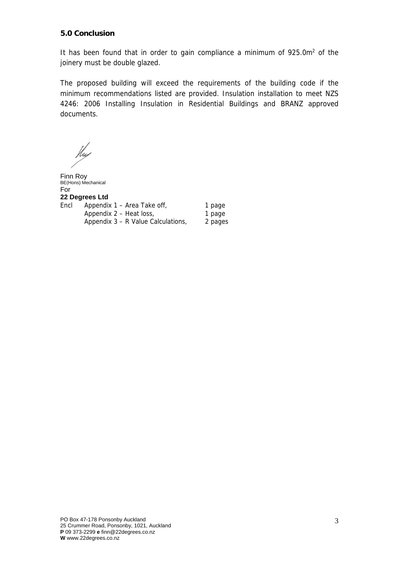# **5.0 Conclusion**

It has been found that in order to gain compliance a minimum of  $925.0m<sup>2</sup>$  of the joinery must be double glazed.

The proposed building will exceed the requirements of the building code if the minimum recommendations listed are provided. Insulation installation to meet NZS 4246: 2006 Installing Insulation in Residential Buildings and BRANZ approved documents.

Hu

Finn Roy BE(Hons) Mechanical For **22 Degrees Ltd**  Encl Appendix 1 – Area Take off, 1 page Appendix 2 – Heat loss, 1 page Appendix 3 – R Value Calculations, 2 pages

PO Box 47-178 Ponsonby Auckland 25 Crummer Road, Ponsonby, 1021, Auckland **P** 09 373-2299 **e** finn@22degrees.co.nz **W** www.22degrees.co.nz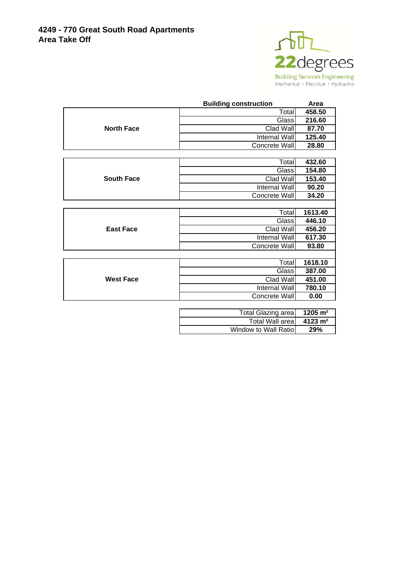

|                   | <b>Building construction</b> | Area    |
|-------------------|------------------------------|---------|
|                   | Total                        | 458.50  |
|                   | Glass                        | 216.60  |
| <b>North Face</b> | Clad Wall                    | 87.70   |
|                   | Internal Wall                | 125.40  |
|                   | Concrete Wall                | 28.80   |
|                   |                              |         |
|                   | Total                        | 432.60  |
|                   | Glass                        | 154.80  |
| <b>South Face</b> | Clad Wall                    | 153.40  |
|                   | Internal Wall                | 90.20   |
|                   | Concrete Wall                | 34.20   |
|                   |                              |         |
|                   | Total                        | 1613.40 |
|                   | Glass                        | 446.10  |
| <b>East Face</b>  | Clad Wall                    | 456.20  |
|                   | Internal Wall                | 617.30  |
|                   | Concrete Wall                | 93.80   |
|                   |                              |         |
|                   | Total                        | 1618.10 |
|                   | Glass                        | 387.00  |
| <b>West Face</b>  | Clad Wall                    | 451.00  |
|                   | Internal Wall                | 780.10  |
|                   | Concrete Wall                | 0.00    |

| <b>Total Glazing area</b> | $1205 \; \mathrm{m}^2$ |
|---------------------------|------------------------|
| Total Wall area           | $4123 \text{ m}^2$     |
| Window to Wall Ratiol     | 29%                    |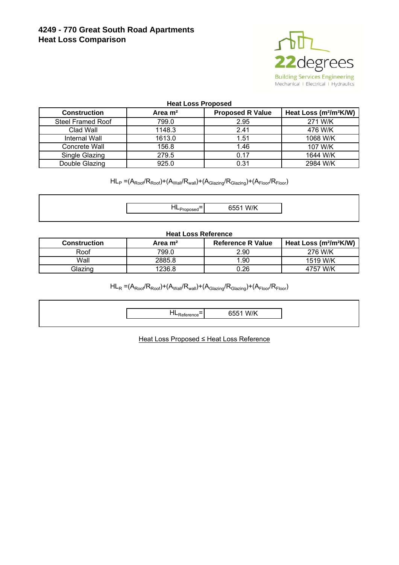# **4249 - 770 Great South Road Apartments Heat Loss Comparison**



### **Heat Loss Proposed**

| <b>Construction</b>      | Area m <sup>2</sup> | <b>Proposed R Value</b> | Heat Loss (m <sup>2</sup> /m <sup>2</sup> K/W) |
|--------------------------|---------------------|-------------------------|------------------------------------------------|
| <b>Steel Framed Roof</b> | 799.0               | 2.95                    | 271 W/K                                        |
| Clad Wall                | 1148.3              | 2.41                    | 476 W/K                                        |
| Internal Wall            | 1613.0              | 1.51                    | 1068 W/K                                       |
| Concrete Wall            | 156.8               | 1.46                    | 107 W/K                                        |
| Single Glazing           | 279.5               | 0.17                    | 1644 W/K                                       |
| Double Glazing           | 925.0               | 0.31                    | 2984 W/K                                       |

 $HL_P = (A_{Root}/R_{Root}) + (A_{Wall}/R_{wall}) + (A_{Glazina}/R_{Glazina}) + (A_{Floor}/R_{Floor})$ 

|  | . |
|--|---|

#### **Heat Loss Reference**

| <b>Construction</b> | Area m <sup>2</sup> | <b>Reference R Value</b> | Heat Loss (m <sup>2</sup> /m <sup>2</sup> K/W) |
|---------------------|---------------------|--------------------------|------------------------------------------------|
| Roof                | 799.0               | 2.90                     | 276 W/K                                        |
| Wall                | 2885.8              | .90                      | 1519 W/K                                       |
| Glazing             | 236.8               | 0.26                     | 4757 W/K                                       |

 $HL_R = (A_{Root} / R_{Root}) + (A_{Wall} / R_{wall}) + (A_{Glazing} / R_{Glazing}) + (A_{Floor} / R_{Floor})$ 

| $\overline{\phantom{0}}$<br>165 | W/K |
|---------------------------------|-----|
|                                 |     |

Heat Loss Proposed ≤ Heat Loss Reference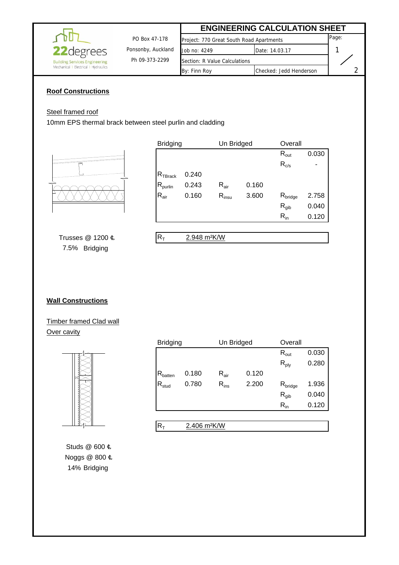|                                      |                    |                                          | <b>ENGINEERING CALCULATION SHEET</b> |       |
|--------------------------------------|--------------------|------------------------------------------|--------------------------------------|-------|
|                                      | PO Box 47-178      | Project: 770 Great South Road Apartments |                                      | Page: |
| <b>22</b> degrees                    | Ponsonby, Auckland | Job no: 4249                             | Date: 14.03.17                       |       |
| <b>Building Services Engineering</b> | Ph 09-373-2299     | Section: R Value Calculations            |                                      |       |
| Mechanical   Electrical   Hydraulics |                    | By: Finn Roy                             | Checked: Jedd Henderson              |       |

## **Roof Constructions**

## Steel framed roof

10mm EPS thermal brack between steel purlin and cladding



| <b>Bridging</b>     |       | Un Bridged       |       | Overall                        |       |
|---------------------|-------|------------------|-------|--------------------------------|-------|
|                     |       |                  |       | $R_{out}$                      | 0.030 |
|                     |       |                  |       | $R_{c/s}$                      |       |
| $R_{\rm TBrack}$    | 0.240 |                  |       |                                |       |
| $R_{\text{purlin}}$ | 0.243 | $R_{\text{air}}$ | 0.160 |                                |       |
| $R_{\text{air}}$    | 0.160 | $R_{insu}$       | 3.600 | $\mathsf{R}_{\mathsf{bridge}}$ | 2.758 |
|                     |       |                  |       | $R_{qib}$                      | 0.040 |
|                     |       |                  |       | $R_{in}$                       | 0.120 |
|                     |       |                  |       |                                |       |

Trusses @ 1200 ԩ 7.5% Bridging

 $R_{T}$  2.948 m<sup>2</sup>K/W

## **Wall Constructions**

Timber framed Clad wall Over cavity



14% Bridging Noggs @ 800 ԩ Studs @ 600 ¢

| <b>Bridging</b>     |                          | Un Bridged       |       | Overall                        |       |
|---------------------|--------------------------|------------------|-------|--------------------------------|-------|
|                     |                          |                  |       | $R_{\text{out}}$               | 0.030 |
|                     |                          |                  |       | $R_{\text{ply}}$               | 0.280 |
| $R_{\text{batten}}$ | 0.180                    | $R_{\text{air}}$ | 0.120 |                                |       |
| $R_{\text{stud}}$   | 0.780                    | $R_{ins}$        | 2.200 | $\mathsf{R}_{\mathsf{bridge}}$ | 1.936 |
|                     |                          |                  |       | $R_{\text{gib}}$               | 0.040 |
|                     |                          |                  |       | $R_{in}$                       | 0.120 |
|                     |                          |                  |       |                                |       |
| $R_T$               | 2.406 m <sup>2</sup> K/W |                  |       |                                |       |